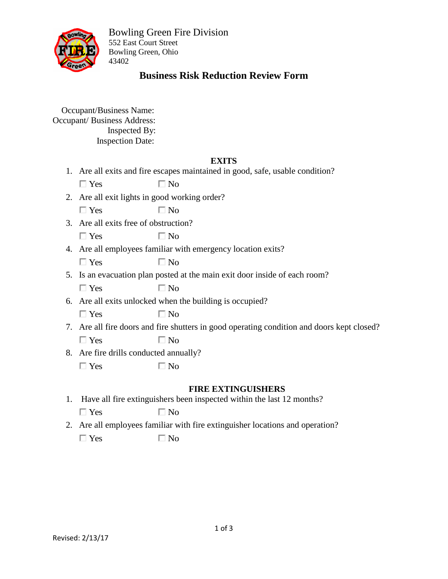

# **Business Risk Reduction Review Form**

 Occupant/Business Name: Occupant/ Business Address: Inspected By: Inspection Date:

### **EXITS**

1. Are all exits and fire escapes maintained in good, safe, usable condition?

| $\Box$ Yes | $\Box$ No |
|------------|-----------|
|            |           |

2. Are all exit lights in good working order?

 $\square$  Yes  $\square$  No

3. Are all exits free of obstruction?

| $\Box$ Yes | $\square$ No |
|------------|--------------|
|------------|--------------|

4. Are all employees familiar with emergency location exits?

5. Is an evacuation plan posted at the main exit door inside of each room?

 $\Box$  Yes  $\Box$  No

6. Are all exits unlocked when the building is occupied?

 $\Box$  Yes  $\Box$  No

- 7. Are all fire doors and fire shutters in good operating condition and doors kept closed?  $\Box$  Yes  $\Box$  No
- 8. Are fire drills conducted annually?

 $\Box$  Yes  $\Box$  No

#### **FIRE EXTINGUISHERS**

- 1. Have all fire extinguishers been inspected within the last 12 months?  $\Box$  Yes  $\Box$  No
- 2. Are all employees familiar with fire extinguisher locations and operation?  $\Box$  Yes  $\Box$  No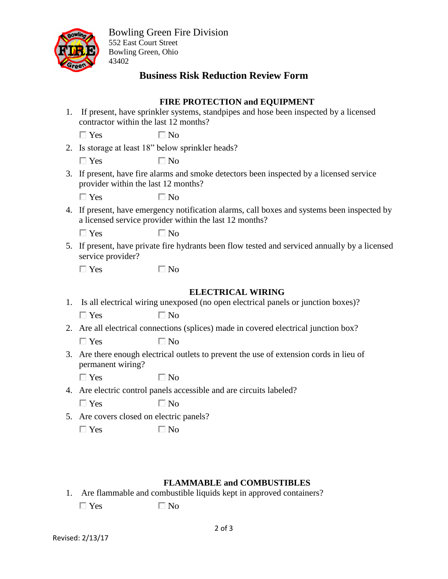

# **Business Risk Reduction Review Form**

### **FIRE PROTECTION and EQUIPMENT**

| 1. | If present, have sprinkler systems, standpipes and hose been inspected by a licensed<br>contractor within the last 12 months?                         |                                                                                   |  |
|----|-------------------------------------------------------------------------------------------------------------------------------------------------------|-----------------------------------------------------------------------------------|--|
|    | $\Box$ Yes                                                                                                                                            | $\Box$ No                                                                         |  |
|    | 2. Is storage at least 18" below sprinkler heads?                                                                                                     |                                                                                   |  |
|    | $\Box$ Yes                                                                                                                                            | $\Box$ No                                                                         |  |
|    | 3. If present, have fire alarms and smoke detectors been inspected by a licensed service<br>provider within the last 12 months?                       |                                                                                   |  |
|    | $\Box$ Yes                                                                                                                                            | $\Box$ No                                                                         |  |
|    | 4. If present, have emergency notification alarms, call boxes and systems been inspected by<br>a licensed service provider within the last 12 months? |                                                                                   |  |
|    | $\Box$ Yes                                                                                                                                            | $\Box$ No                                                                         |  |
|    | 5. If present, have private fire hydrants been flow tested and serviced annually by a licensed<br>service provider?                                   |                                                                                   |  |
|    | $\Box$ Yes                                                                                                                                            | $\Box$ No                                                                         |  |
|    |                                                                                                                                                       |                                                                                   |  |
|    |                                                                                                                                                       | <b>ELECTRICAL WIRING</b>                                                          |  |
| 1. |                                                                                                                                                       | Is all electrical wiring unexposed (no open electrical panels or junction boxes)? |  |
|    | $\Box$ Yes                                                                                                                                            | $\Box$ No                                                                         |  |
|    | 2. Are all electrical connections (splices) made in covered electrical junction box?                                                                  |                                                                                   |  |
|    | $\Box$ Yes                                                                                                                                            | $\Box$ No                                                                         |  |
|    | 3. Are there enough electrical outlets to prevent the use of extension cords in lieu of<br>permanent wiring?                                          |                                                                                   |  |
|    | $\Box$ Yes                                                                                                                                            | $\Box$ No                                                                         |  |
|    | 4. Are electric control panels accessible and are circuits labeled?                                                                                   |                                                                                   |  |
|    | $\Box$ Yes                                                                                                                                            | $\Box$ No                                                                         |  |
|    | 5. Are covers closed on electric panels?                                                                                                              |                                                                                   |  |
|    | $\Box$ Yes                                                                                                                                            | $\square$ No                                                                      |  |
|    |                                                                                                                                                       |                                                                                   |  |
|    |                                                                                                                                                       |                                                                                   |  |
|    |                                                                                                                                                       |                                                                                   |  |

### **FLAMMABLE and COMBUSTIBLES**

1. Are flammable and combustible liquids kept in approved containers?  $\Box$  Yes  $\Box$  No